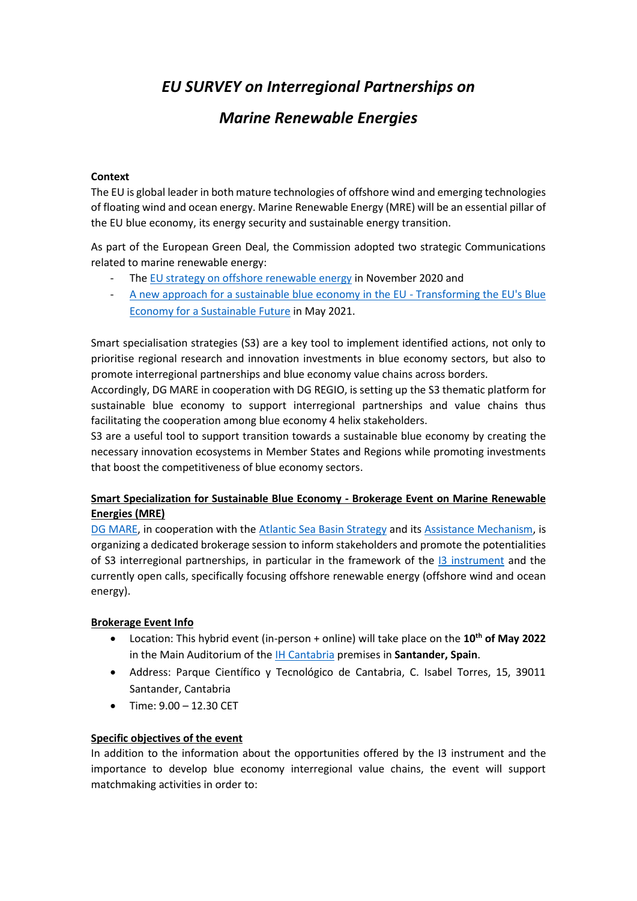# *EU SURVEY on Interregional Partnerships on*

# *Marine Renewable Energies*

#### **Context**

The EU is global leader in both mature technologies of offshore wind and emerging technologies of floating wind and ocean energy. Marine Renewable Energy (MRE) will be an essential pillar of the EU blue economy, its energy security and sustainable energy transition.

As part of the European Green Deal, the Commission adopted two strategic Communications related to marine renewable energy:

- The [EU strategy on offshore renewable energy](about:blank) in November 2020 and
- [A new approach for a sustainable blue economy in the EU -](about:blank) Transforming the EU's Blue [Economy for a Sustainable Future](about:blank) in May 2021.

Smart specialisation strategies (S3) are a key tool to implement identified actions, not only to prioritise regional research and innovation investments in blue economy sectors, but also to promote interregional partnerships and blue economy value chains across borders.

Accordingly, DG MARE in cooperation with DG REGIO, is setting up the S3 thematic platform for sustainable blue economy to support interregional partnerships and value chains thus facilitating the cooperation among blue economy 4 helix stakeholders.

S3 are a useful tool to support transition towards a sustainable blue economy by creating the necessary innovation ecosystems in Member States and Regions while promoting investments that boost the competitiveness of blue economy sectors.

### **Smart Specialization for Sustainable Blue Economy - Brokerage Event on Marine Renewable Energies (MRE)**

[DG MARE,](about:blank) in cooperation with the [Atlantic Sea Basin Strategy](about:blank) and it[s Assistance Mechanism,](about:blank) is organizing a dedicated brokerage session to inform stakeholders and promote the potentialities of S3 interregional partnerships, in particular in the framework of the [I3 instrument](about:blank) and the currently open calls, specifically focusing offshore renewable energy (offshore wind and ocean energy).

#### **Brokerage Event Info**

- Location: This hybrid event (in-person + online) will take place on the **10th of May 2022** in the Main Auditorium of the [IH Cantabria](about:blank) premises in **Santander, Spain**.
- Address: Parque Científico y Tecnológico de Cantabria, C. Isabel Torres, 15, 39011 Santander, Cantabria
- Time: 9.00 12.30 CET

#### **Specific objectives of the event**

In addition to the information about the opportunities offered by the I3 instrument and the importance to develop blue economy interregional value chains, the event will support matchmaking activities in order to: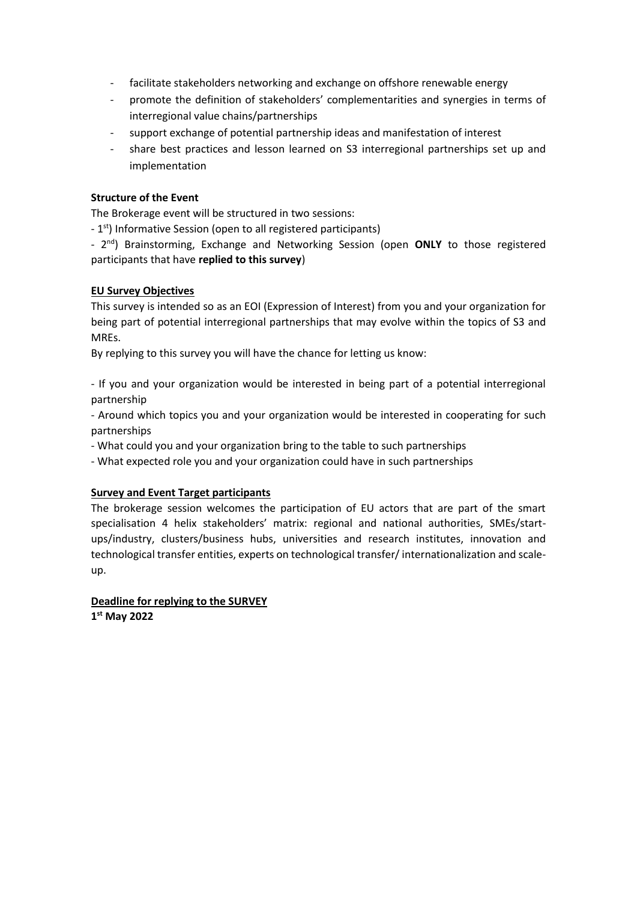- facilitate stakeholders networking and exchange on offshore renewable energy
- promote the definition of stakeholders' complementarities and synergies in terms of interregional value chains/partnerships
- support exchange of potential partnership ideas and manifestation of interest
- share best practices and lesson learned on S3 interregional partnerships set up and implementation

#### **Structure of the Event**

The Brokerage event will be structured in two sessions:

- 1<sup>st</sup>) Informative Session (open to all registered participants)

- 2 nd) Brainstorming, Exchange and Networking Session (open **ONLY** to those registered participants that have **replied to this survey**)

#### **EU Survey Objectives**

This survey is intended so as an EOI (Expression of Interest) from you and your organization for being part of potential interregional partnerships that may evolve within the topics of S3 and MREs.

By replying to this survey you will have the chance for letting us know:

- If you and your organization would be interested in being part of a potential interregional partnership

- Around which topics you and your organization would be interested in cooperating for such partnerships

- What could you and your organization bring to the table to such partnerships

- What expected role you and your organization could have in such partnerships

### **Survey and Event Target participants**

The brokerage session welcomes the participation of EU actors that are part of the smart specialisation 4 helix stakeholders' matrix: regional and national authorities, SMEs/startups/industry, clusters/business hubs, universities and research institutes, innovation and technological transfer entities, experts on technological transfer/ internationalization and scaleup.

**Deadline for replying to the SURVEY 1 st May 2022**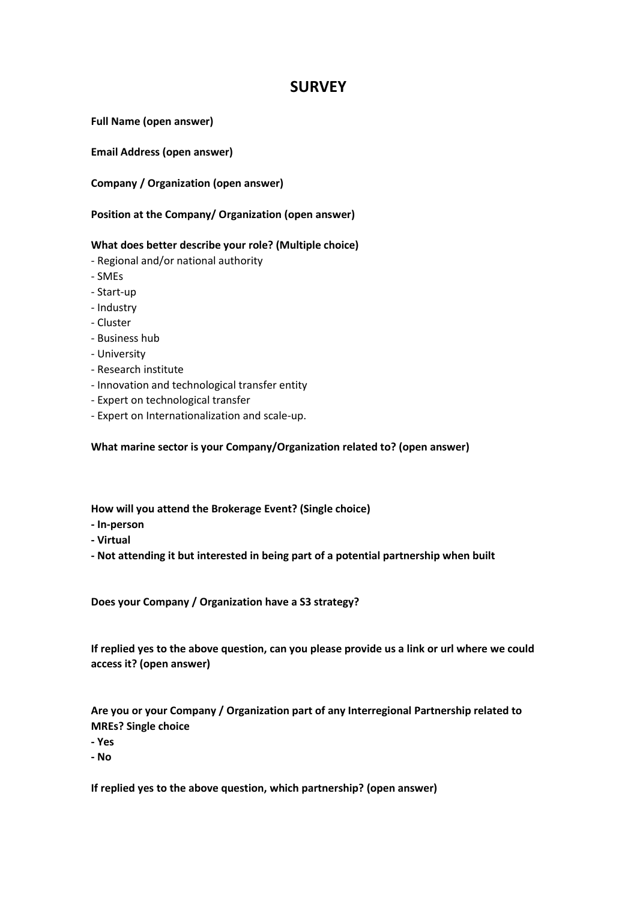## **SURVEY**

**Full Name (open answer)**

**Email Address (open answer)**

**Company / Organization (open answer)**

#### **Position at the Company/ Organization (open answer)**

#### **What does better describe your role? (Multiple choice)**

- Regional and/or national authority
- SMEs
- Start-up
- Industry
- Cluster
- Business hub
- University
- Research institute
- Innovation and technological transfer entity
- Expert on technological transfer
- Expert on Internationalization and scale-up.

**What marine sector is your Company/Organization related to? (open answer)**

**How will you attend the Brokerage Event? (Single choice)**

- **- In-person**
- **- Virtual**
- **- Not attending it but interested in being part of a potential partnership when built**

**Does your Company / Organization have a S3 strategy?** 

**If replied yes to the above question, can you please provide us a link or url where we could access it? (open answer)**

**Are you or your Company / Organization part of any Interregional Partnership related to MREs? Single choice**

**- Yes**

**- No**

**If replied yes to the above question, which partnership? (open answer)**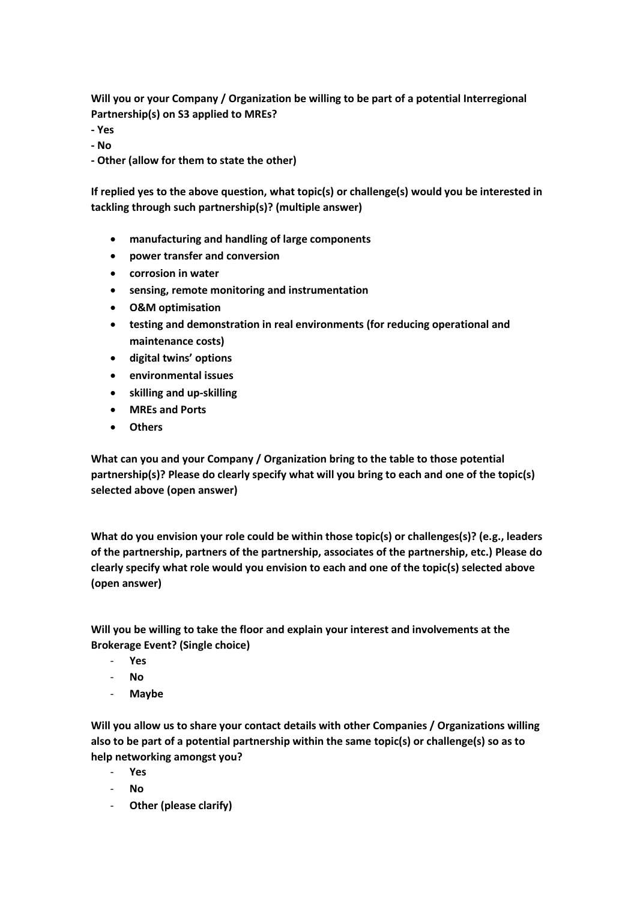**Will you or your Company / Organization be willing to be part of a potential Interregional Partnership(s) on S3 applied to MREs?**

- **- Yes**
- **- No**
- **- Other (allow for them to state the other)**

**If replied yes to the above question, what topic(s) or challenge(s) would you be interested in tackling through such partnership(s)? (multiple answer)**

- **manufacturing and handling of large components**
- **power transfer and conversion**
- **corrosion in water**
- **sensing, remote monitoring and instrumentation**
- **O&M optimisation**
- **testing and demonstration in real environments (for reducing operational and maintenance costs)**
- **digital twins' options**
- **environmental issues**
- **skilling and up-skilling**
- **MREs and Ports**
- **Others**

**What can you and your Company / Organization bring to the table to those potential partnership(s)? Please do clearly specify what will you bring to each and one of the topic(s) selected above (open answer)**

**What do you envision your role could be within those topic(s) or challenges(s)? (e.g., leaders of the partnership, partners of the partnership, associates of the partnership, etc.) Please do clearly specify what role would you envision to each and one of the topic(s) selected above (open answer)**

**Will you be willing to take the floor and explain your interest and involvements at the Brokerage Event? (Single choice)**

- **Yes**
- **No**
- **Maybe**

**Will you allow us to share your contact details with other Companies / Organizations willing also to be part of a potential partnership within the same topic(s) or challenge(s) so as to help networking amongst you?**

- **Yes**
- **No**
- **Other (please clarify)**